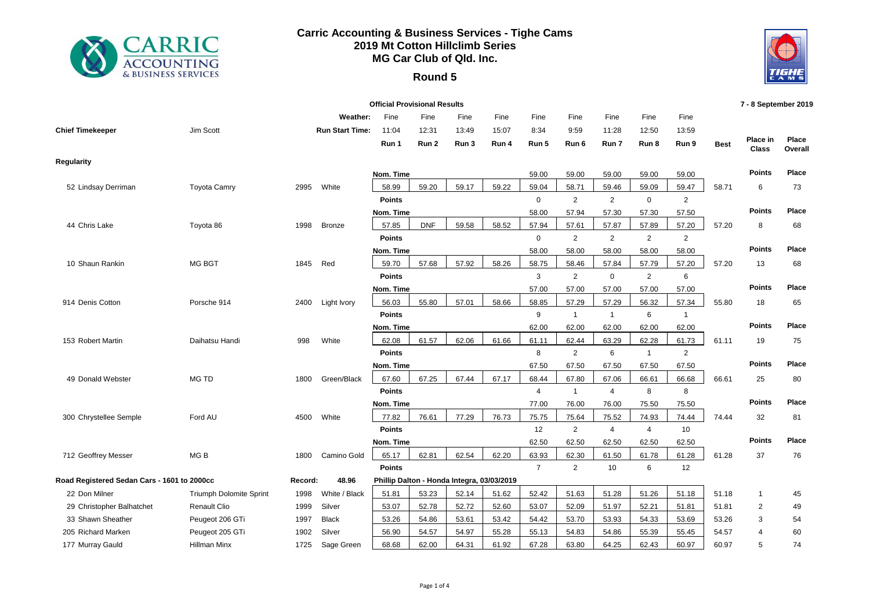

## **Carric Accounting & Business Services - Tighe Cams 2019 Mt Cotton Hillclimb Series MG Car Club of Qld. Inc.**

## **Round 5**



|                                             |                         |         |                        | <b>Official Provisional Results</b> |            |                                            |       |                |                         |                  |                         |                         |             | 7 - 8 September 2019     |                  |
|---------------------------------------------|-------------------------|---------|------------------------|-------------------------------------|------------|--------------------------------------------|-------|----------------|-------------------------|------------------|-------------------------|-------------------------|-------------|--------------------------|------------------|
|                                             |                         |         | Weather:               | Fine                                | Fine       | Fine                                       | Fine  | Fine           | Fine                    | Fine             | Fine                    | Fine                    |             |                          |                  |
| <b>Chief Timekeeper</b>                     | Jim Scott               |         | <b>Run Start Time:</b> | 11:04                               | 12:31      | 13:49                                      | 15:07 | 8:34           | 9:59                    | 11:28            | 12:50                   | 13:59                   |             |                          |                  |
|                                             |                         |         |                        | Run 1                               | Run 2      | Run 3                                      | Run 4 | Run 5          | Run 6                   | Run 7            | Run 8                   | Run 9                   | <b>Best</b> | Place in<br><b>Class</b> | Place<br>Overall |
| <b>Regularity</b>                           |                         |         |                        |                                     |            |                                            |       |                |                         |                  |                         |                         |             |                          |                  |
|                                             |                         |         |                        | Nom. Time                           |            |                                            |       | 59.00          | 59.00                   | 59.00            | 59.00                   | 59.00                   |             | <b>Points</b>            | Place            |
| 52 Lindsay Derriman                         | <b>Toyota Camry</b>     | 2995    | White                  | 58.99                               | 59.20      | 59.17                                      | 59.22 | 59.04          | 58.71                   | 59.46            | 59.09                   | 59.47                   | 58.71       | 6                        | 73               |
|                                             |                         |         |                        | <b>Points</b>                       |            |                                            |       | $\mathbf 0$    | $\overline{2}$          | $\overline{2}$   | $\mathbf 0$             | 2                       |             |                          |                  |
|                                             |                         |         |                        | Nom. Time                           |            |                                            |       | 58.00          | 57.94                   | 57.30            | 57.30                   | 57.50                   |             | <b>Points</b>            | Place            |
| 44 Chris Lake                               | Toyota 86               | 1998    | Bronze                 | 57.85                               | <b>DNF</b> | 59.58                                      | 58.52 | 57.94          | 57.61                   | 57.87            | 57.89                   | 57.20                   | 57.20       | 8                        | 68               |
|                                             |                         |         |                        | <b>Points</b>                       |            |                                            |       | $\mathbf 0$    | $\overline{2}$          | $\overline{2}$   | 2                       | 2                       |             |                          |                  |
|                                             |                         |         |                        | Nom. Time                           |            |                                            |       | 58.00          | 58.00                   | 58.00            | 58.00                   | 58.00                   |             | <b>Points</b>            | Place            |
| 10 Shaun Rankin                             | MG BGT                  | 1845    | Red                    | 59.70                               | 57.68      | 57.92                                      | 58.26 | 58.75          | 58.46                   | 57.84            | 57.79                   | 57.20                   | 57.20       | 13                       | 68               |
|                                             |                         |         |                        | <b>Points</b>                       |            |                                            |       | 3              | $\overline{2}$          | $\mathbf 0$      | 2                       | 6                       |             | <b>Points</b>            | Place            |
|                                             |                         |         |                        | Nom. Time                           |            |                                            |       | 57.00          | 57.00                   | 57.00            | 57.00                   | 57.00                   |             |                          |                  |
| 914 Denis Cotton                            | Porsche 914             | 2400    | Light Ivory            | 56.03                               | 55.80      | 57.01                                      | 58.66 | 58.85          | 57.29                   | 57.29            | 56.32                   | 57.34                   | 55.80       | 18                       | 65               |
|                                             |                         |         |                        | <b>Points</b>                       |            |                                            |       | 9              | $\mathbf{1}$            | $\mathbf{1}$     | 6                       | $\mathbf{1}$            |             | <b>Points</b>            | Place            |
|                                             |                         |         |                        | Nom. Time                           | 61.57      |                                            |       | 62.00          | 62.00                   | 62.00            | 62.00                   | 62.00                   |             |                          |                  |
| 153 Robert Martin                           | Daihatsu Handi          | 998     | White                  | 62.08<br><b>Points</b>              |            | 62.06                                      | 61.66 | 61.11<br>8     | 62.44<br>$\overline{2}$ | 63.29<br>6       | 62.28<br>$\overline{1}$ | 61.73<br>$\overline{2}$ | 61.11       | 19                       | 75               |
|                                             |                         |         |                        | Nom. Time                           |            |                                            |       | 67.50          | 67.50                   | 67.50            | 67.50                   | 67.50                   |             | <b>Points</b>            | Place            |
| 49 Donald Webster                           | MG TD                   | 1800    | Green/Black            | 67.60                               | 67.25      | 67.44                                      | 67.17 | 68.44          | 67.80                   | 67.06            | 66.61                   | 66.68                   | 66.61       | 25                       | 80               |
|                                             |                         |         |                        | <b>Points</b>                       |            |                                            |       | $\overline{4}$ | $\mathbf{1}$            | $\overline{4}$   | 8                       | 8                       |             |                          |                  |
|                                             |                         |         |                        | Nom. Time                           |            |                                            |       | 77.00          | 76.00                   | 76.00            | 75.50                   | 75.50                   |             | <b>Points</b>            | Place            |
| 300 Chrystellee Semple                      | Ford AU                 | 4500    | White                  | 77.82                               | 76.61      | 77.29                                      | 76.73 | 75.75          | 75.64                   | 75.52            | 74.93                   | 74.44                   | 74.44       | 32                       | 81               |
|                                             |                         |         |                        | <b>Points</b>                       |            |                                            |       | 12             | $\overline{2}$          | $\overline{4}$   | $\overline{4}$          | 10                      |             |                          |                  |
|                                             |                         |         |                        | Nom. Time                           |            |                                            |       | 62.50          | 62.50                   | 62.50            | 62.50                   | 62.50                   |             | <b>Points</b>            | Place            |
| 712 Geoffrey Messer                         | MG <sub>B</sub>         | 1800    | Camino Gold            | 65.17                               | 62.81      | 62.54                                      | 62.20 | 63.93          | 62.30                   | 61.50            | 61.78                   | 61.28                   | 61.28       | 37                       | 76               |
|                                             |                         |         |                        | <b>Points</b>                       |            |                                            |       | $\overline{7}$ | $\overline{2}$          | 10 <sup>10</sup> | 6                       | 12                      |             |                          |                  |
| Road Registered Sedan Cars - 1601 to 2000cc |                         | Record: | 48.96                  |                                     |            | Phillip Dalton - Honda Integra, 03/03/2019 |       |                |                         |                  |                         |                         |             |                          |                  |
| 22 Don Milner                               | Triumph Dolomite Sprint | 1998    | White / Black          | 51.81                               | 53.23      | 52.14                                      | 51.62 | 52.42          | 51.63                   | 51.28            | 51.26                   | 51.18                   | 51.18       | $\mathbf{1}$             | 45               |
| 29 Christopher Balhatchet                   | <b>Renault Clio</b>     | 1999    | Silver                 | 53.07                               | 52.78      | 52.72                                      | 52.60 | 53.07          | 52.09                   | 51.97            | 52.21                   | 51.81                   | 51.81       | $\overline{2}$           | 49               |
| 33 Shawn Sheather                           | Peugeot 206 GTi         | 1997    | <b>Black</b>           | 53.26                               | 54.86      | 53.61                                      | 53.42 | 54.42          | 53.70                   | 53.93            | 54.33                   | 53.69                   | 53.26       | 3                        | 54               |
| 205 Richard Marken                          | Peugeot 205 GTi         | 1902    | Silver                 | 56.90                               | 54.57      | 54.97                                      | 55.28 | 55.13          | 54.83                   | 54.86            | 55.39                   | 55.45                   | 54.57       | $\overline{4}$           | 60               |
| 177 Murray Gauld                            | Hillman Minx            | 1725    | Sage Green             | 68.68                               | 62.00      | 64.31                                      | 61.92 | 67.28          | 63.80                   | 64.25            | 62.43                   | 60.97                   | 60.97       | 5                        | 74               |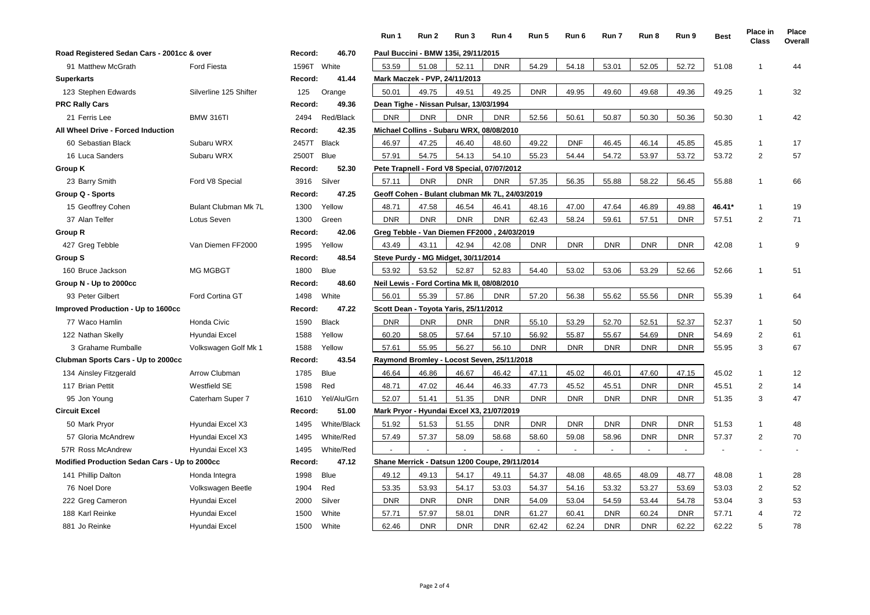|                                               |                        |             |              | Run 1      | Run 2                                       | Run 3      | Run 4                                          | Run 5      | Run 6          | Run 7      | Run 8      | Run 9      | <b>Best</b> | Place in<br><b>Class</b> | Place<br>Overall |
|-----------------------------------------------|------------------------|-------------|--------------|------------|---------------------------------------------|------------|------------------------------------------------|------------|----------------|------------|------------|------------|-------------|--------------------------|------------------|
| Road Registered Sedan Cars - 2001cc & over    |                        | Record:     | 46.70        |            | Paul Buccini - BMW 135i, 29/11/2015         |            |                                                |            |                |            |            |            |             |                          |                  |
| 91 Matthew McGrath                            | <b>Ford Fiesta</b>     | 1596T White |              | 53.59      | 51.08                                       | 52.11      | <b>DNR</b>                                     | 54.29      | 54.18          | 53.01      | 52.05      | 52.72      | 51.08       | $\overline{1}$           | 44               |
| <b>Superkarts</b>                             |                        | Record:     | 41.44        |            | Mark Maczek - PVP, 24/11/2013               |            |                                                |            |                |            |            |            |             |                          |                  |
| 123 Stephen Edwards                           | Silverline 125 Shifter | 125         | Orange       | 50.01      | 49.75                                       | 49.51      | 49.25                                          | <b>DNR</b> | 49.95          | 49.60      | 49.68      | 49.36      | 49.25       | $\overline{1}$           | 32               |
| <b>PRC Rally Cars</b>                         |                        | Record:     | 49.36        |            | Dean Tighe - Nissan Pulsar, 13/03/1994      |            |                                                |            |                |            |            |            |             |                          |                  |
| 21 Ferris Lee                                 | <b>BMW 316TI</b>       | 2494        | Red/Black    | <b>DNR</b> | <b>DNR</b>                                  | <b>DNR</b> | <b>DNR</b>                                     | 52.56      | 50.61          | 50.87      | 50.30      | 50.36      | 50.30       | $\overline{\mathbf{1}}$  | 42               |
| All Wheel Drive - Forced Induction            |                        | Record:     | 42.35        |            | Michael Collins - Subaru WRX, 08/08/2010    |            |                                                |            |                |            |            |            |             |                          |                  |
| 60 Sebastian Black                            | Subaru WRX             | 2457T Black |              | 46.97      | 47.25                                       | 46.40      | 48.60                                          | 49.22      | <b>DNF</b>     | 46.45      | 46.14      | 45.85      | 45.85       | $\overline{\mathbf{1}}$  | 17               |
| 16 Luca Sanders                               | Subaru WRX             | 2500T       | <b>Blue</b>  | 57.91      | 54.75                                       | 54.13      | 54.10                                          | 55.23      | 54.44          | 54.72      | 53.97      | 53.72      | 53.72       | $\overline{2}$           | 57               |
| Group K                                       |                        | Record:     | 52.30        |            |                                             |            | Pete Trapnell - Ford V8 Special, 07/07/2012    |            |                |            |            |            |             |                          |                  |
| 23 Barry Smith                                | Ford V8 Special        | 3916        | Silver       | 57.11      | <b>DNR</b>                                  | <b>DNR</b> | <b>DNR</b>                                     | 57.35      | 56.35          | 55.88      | 58.22      | 56.45      | 55.88       | $\overline{1}$           | 66               |
| Group Q - Sports                              |                        | Record:     | 47.25        |            |                                             |            | Geoff Cohen - Bulant clubman Mk 7L, 24/03/2019 |            |                |            |            |            |             |                          |                  |
| 15 Geoffrey Cohen                             | Bulant Clubman Mk 7L   | 1300        | Yellow       | 48.71      | 47.58                                       | 46.54      | 46.41                                          | 48.16      | 47.00          | 47.64      | 46.89      | 49.88      | 46.41*      | $\overline{1}$           | 19               |
| 37 Alan Telfer                                | Lotus Seven            | 1300        | Green        | <b>DNR</b> | <b>DNR</b>                                  | <b>DNR</b> | <b>DNR</b>                                     | 62.43      | 58.24          | 59.61      | 57.51      | <b>DNR</b> | 57.51       | 2                        | 71               |
| <b>Group R</b>                                |                        | Record:     | 42.06        |            |                                             |            | Greg Tebble - Van Diemen FF2000, 24/03/2019    |            |                |            |            |            |             |                          |                  |
| 427 Greg Tebble                               | Van Diemen FF2000      | 1995        | Yellow       | 43.49      | 43.11                                       | 42.94      | 42.08                                          | <b>DNR</b> | <b>DNR</b>     | <b>DNR</b> | <b>DNR</b> | <b>DNR</b> | 42.08       | $\overline{\mathbf{1}}$  | 9                |
| Group S                                       |                        | Record:     | 48.54        |            | Steve Purdy - MG Midget, 30/11/2014         |            |                                                |            |                |            |            |            |             |                          |                  |
| 160 Bruce Jackson                             | <b>MG MGBGT</b>        | 1800        | <b>Blue</b>  | 53.92      | 53.52                                       | 52.87      | 52.83                                          | 54.40      | 53.02          | 53.06      | 53.29      | 52.66      | 52.66       | $\overline{1}$           | 51               |
| Group N - Up to 2000cc                        |                        | Record:     | 48.60        |            | Neil Lewis - Ford Cortina Mk II, 08/08/2010 |            |                                                |            |                |            |            |            |             |                          |                  |
| 93 Peter Gilbert                              | Ford Cortina GT        | 1498        | White        | 56.01      | 55.39                                       | 57.86      | <b>DNR</b>                                     | 57.20      | 56.38          | 55.62      | 55.56      | <b>DNR</b> | 55.39       | $\overline{1}$           | 64               |
| Improved Production - Up to 1600cc            |                        | Record:     | 47.22        |            | Scott Dean - Toyota Yaris, 25/11/2012       |            |                                                |            |                |            |            |            |             |                          |                  |
| 77 Waco Hamlin                                | Honda Civic            | 1590        | <b>Black</b> | <b>DNR</b> | <b>DNR</b>                                  | <b>DNR</b> | <b>DNR</b>                                     | 55.10      | 53.29          | 52.70      | 52.51      | 52.37      | 52.37       | $\overline{1}$           | 50               |
| 122 Nathan Skelly                             | Hyundai Excel          | 1588        | Yellow       | 60.20      | 58.05                                       | 57.64      | 57.10                                          | 56.92      | 55.87          | 55.67      | 54.69      | <b>DNR</b> | 54.69       | $\overline{2}$           | 61               |
| 3 Grahame Rumballe                            | Volkswagen Golf Mk 1   | 1588        | Yellow       | 57.61      | 55.95                                       | 56.27      | 56.10                                          | <b>DNR</b> | <b>DNR</b>     | <b>DNR</b> | <b>DNR</b> | <b>DNR</b> | 55.95       | 3                        | 67               |
| Clubman Sports Cars - Up to 2000cc            |                        | Record:     | 43.54        |            |                                             |            | Raymond Bromley - Locost Seven, 25/11/2018     |            |                |            |            |            |             |                          |                  |
| 134 Ainsley Fitzgerald                        | Arrow Clubman          | 1785        | <b>Blue</b>  | 46.64      | 46.86                                       | 46.67      | 46.42                                          | 47.11      | 45.02          | 46.01      | 47.60      | 47.15      | 45.02       | $\overline{1}$           | 12               |
| 117 Brian Pettit                              | <b>Westfield SE</b>    | 1598        | Red          | 48.71      | 47.02                                       | 46.44      | 46.33                                          | 47.73      | 45.52          | 45.51      | <b>DNR</b> | <b>DNR</b> | 45.51       | $\overline{2}$           | 14               |
| 95 Jon Young                                  | Caterham Super 7       | 1610        | Yel/Alu/Grn  | 52.07      | 51.41                                       | 51.35      | <b>DNR</b>                                     | <b>DNR</b> | <b>DNR</b>     | <b>DNR</b> | <b>DNR</b> | <b>DNR</b> | 51.35       | 3                        | 47               |
| <b>Circuit Excel</b>                          |                        | Record:     | 51.00        |            |                                             |            | Mark Pryor - Hyundai Excel X3, 21/07/2019      |            |                |            |            |            |             |                          |                  |
| 50 Mark Pryor                                 | Hyundai Excel X3       | 1495        | White/Black  | 51.92      | 51.53                                       | 51.55      | <b>DNR</b>                                     | <b>DNR</b> | <b>DNR</b>     | <b>DNR</b> | <b>DNR</b> | <b>DNR</b> | 51.53       | $\overline{1}$           | 48               |
| 57 Gloria McAndrew                            | Hyundai Excel X3       | 1495        | White/Red    | 57.49      | 57.37                                       | 58.09      | 58.68                                          | 58.60      | 59.08          | 58.96      | <b>DNR</b> | <b>DNR</b> | 57.37       | $\overline{2}$           | 70               |
| 57R Ross McAndrew                             | Hyundai Excel X3       | 1495        | White/Red    |            |                                             |            |                                                |            | $\overline{a}$ |            |            | $\sim$     |             |                          |                  |
| Modified Production Sedan Cars - Up to 2000cc |                        | Record:     | 47.12        |            |                                             |            | Shane Merrick - Datsun 1200 Coupe, 29/11/2014  |            |                |            |            |            |             |                          |                  |
| 141 Phillip Dalton                            | Honda Integra          | 1998        | <b>Blue</b>  | 49.12      | 49.13                                       | 54.17      | 49.11                                          | 54.37      | 48.08          | 48.65      | 48.09      | 48.77      | 48.08       | $\mathbf{1}$             | 28               |
| 76 Noel Dore                                  | Volkswagen Beetle      | 1904        | Red          | 53.35      | 53.93                                       | 54.17      | 53.03                                          | 54.37      | 54.16          | 53.32      | 53.27      | 53.69      | 53.03       | $\overline{2}$           | 52               |
| 222 Greg Cameron                              | Hyundai Excel          | 2000        | Silver       | <b>DNR</b> | <b>DNR</b>                                  | <b>DNR</b> | <b>DNR</b>                                     | 54.09      | 53.04          | 54.59      | 53.44      | 54.78      | 53.04       | 3                        | 53               |
| 188 Karl Reinke                               | Hyundai Excel          | 1500        | White        | 57.71      | 57.97                                       | 58.01      | <b>DNR</b>                                     | 61.27      | 60.41          | <b>DNR</b> | 60.24      | <b>DNR</b> | 57.71       | $\overline{4}$           | 72               |
| 881 Jo Reinke                                 | Hyundai Excel          | 1500        | White        | 62.46      | <b>DNR</b>                                  | <b>DNR</b> | <b>DNR</b>                                     | 62.42      | 62.24          | <b>DNR</b> | <b>DNR</b> | 62.22      | 62.22       | 5                        | 78               |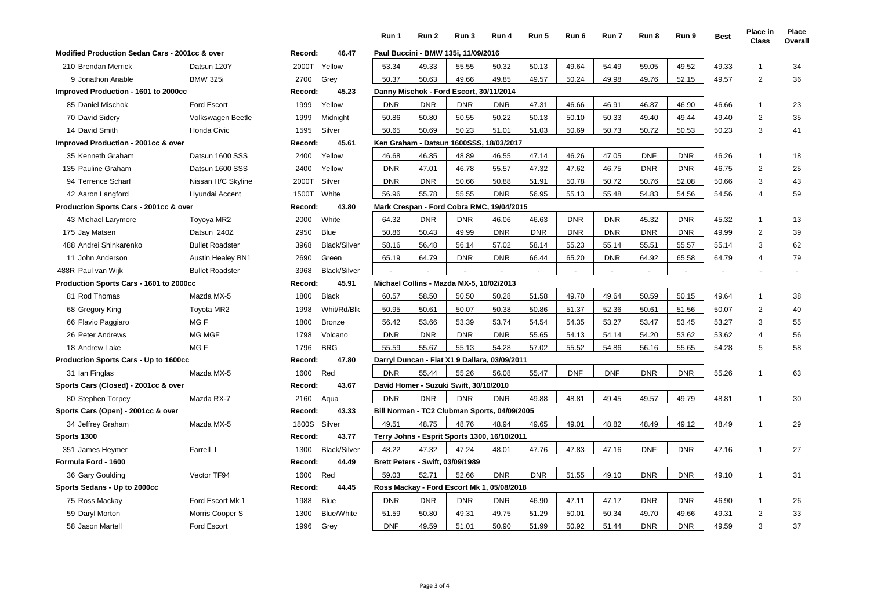|                                                |                          |         |                     | Run 1      | Run 2                            | Run 3                                         | Run 4      | Run 5      | Run 6      | Run 7      | Run 8      | Run 9      | <b>Best</b> | Place in<br><b>Class</b> | Place<br>Overall |
|------------------------------------------------|--------------------------|---------|---------------------|------------|----------------------------------|-----------------------------------------------|------------|------------|------------|------------|------------|------------|-------------|--------------------------|------------------|
| Modified Production Sedan Cars - 2001cc & over |                          | Record: | 46.47               |            |                                  | Paul Buccini - BMW 135i, 11/09/2016           |            |            |            |            |            |            |             |                          |                  |
| 210 Brendan Merrick                            | Datsun 120Y              | 2000T   | Yellow              | 53.34      | 49.33                            | 55.55                                         | 50.32      | 50.13      | 49.64      | 54.49      | 59.05      | 49.52      | 49.33       | -1                       | 34               |
| 9 Jonathon Anable                              | <b>BMW 325i</b>          | 2700    | Grey                | 50.37      | 50.63                            | 49.66                                         | 49.85      | 49.57      | 50.24      | 49.98      | 49.76      | 52.15      | 49.57       | $\overline{2}$           | 36               |
| Improved Production - 1601 to 2000cc           |                          | Record: | 45.23               |            |                                  | Danny Mischok - Ford Escort, 30/11/2014       |            |            |            |            |            |            |             |                          |                  |
| 85 Daniel Mischok                              | <b>Ford Escort</b>       | 1999    | Yellow              | <b>DNR</b> | <b>DNR</b>                       | <b>DNR</b>                                    | <b>DNR</b> | 47.31      | 46.66      | 46.91      | 46.87      | 46.90      | 46.66       | $\overline{1}$           | 23               |
| 70 David Sidery                                | Volkswagen Beetle        | 1999    | Midnight            | 50.86      | 50.80                            | 50.55                                         | 50.22      | 50.13      | 50.10      | 50.33      | 49.40      | 49.44      | 49.40       | 2                        | 35               |
| 14 David Smith                                 | Honda Civic              | 1595    | Silver              | 50.65      | 50.69                            | 50.23                                         | 51.01      | 51.03      | 50.69      | 50.73      | 50.72      | 50.53      | 50.23       | 3                        | 41               |
| Improved Production - 2001cc & over            |                          | Record: | 45.61               |            |                                  | Ken Graham - Datsun 1600SSS, 18/03/2017       |            |            |            |            |            |            |             |                          |                  |
| 35 Kenneth Graham                              | Datsun 1600 SSS          | 2400    | Yellow              | 46.68      | 46.85                            | 48.89                                         | 46.55      | 47.14      | 46.26      | 47.05      | <b>DNF</b> | <b>DNR</b> | 46.26       | $\overline{1}$           | 18               |
| 135 Pauline Graham                             | Datsun 1600 SSS          | 2400    | Yellow              | <b>DNR</b> | 47.01                            | 46.78                                         | 55.57      | 47.32      | 47.62      | 46.75      | <b>DNR</b> | <b>DNR</b> | 46.75       | 2                        | 25               |
| 94 Terrence Scharf                             | Nissan H/C Skyline       | 2000T   | Silver              | <b>DNR</b> | <b>DNR</b>                       | 50.66                                         | 50.88      | 51.91      | 50.78      | 50.72      | 50.76      | 52.08      | 50.66       | 3                        | 43               |
| 42 Aaron Langford                              | Hyundai Accent           | 1500T   | White               | 56.96      | 55.78                            | 55.55                                         | <b>DNR</b> | 56.95      | 55.13      | 55.48      | 54.83      | 54.56      | 54.56       | $\overline{4}$           | 59               |
| Production Sports Cars - 2001cc & over         |                          | Record: | 43.80               |            |                                  | Mark Crespan - Ford Cobra RMC, 19/04/2015     |            |            |            |            |            |            |             |                          |                  |
| 43 Michael Larymore                            | Toyoya MR2               | 2000    | White               | 64.32      | <b>DNR</b>                       | <b>DNR</b>                                    | 46.06      | 46.63      | <b>DNR</b> | <b>DNR</b> | 45.32      | <b>DNR</b> | 45.32       | $\overline{1}$           | 13               |
| 175 Jay Matsen                                 | Datsun 240Z              | 2950    | <b>Blue</b>         | 50.86      | 50.43                            | 49.99                                         | <b>DNR</b> | <b>DNR</b> | <b>DNR</b> | <b>DNR</b> | <b>DNR</b> | <b>DNR</b> | 49.99       | 2                        | 39               |
| 488 Andrei Shinkarenko                         | <b>Bullet Roadster</b>   | 3968    | <b>Black/Silver</b> | 58.16      | 56.48                            | 56.14                                         | 57.02      | 58.14      | 55.23      | 55.14      | 55.51      | 55.57      | 55.14       | 3                        | 62               |
| 11 John Anderson                               | <b>Austin Healey BN1</b> | 2690    | Green               | 65.19      | 64.79                            | <b>DNR</b>                                    | <b>DNR</b> | 66.44      | 65.20      | <b>DNR</b> | 64.92      | 65.58      | 64.79       | $\overline{4}$           | 79               |
| 488R Paul van Wijk                             | <b>Bullet Roadster</b>   | 3968    | <b>Black/Silver</b> |            |                                  |                                               |            |            |            |            |            |            |             |                          |                  |
| Production Sports Cars - 1601 to 2000cc        |                          | Record: | 45.91               |            |                                  | Michael Collins - Mazda MX-5, 10/02/2013      |            |            |            |            |            |            |             |                          |                  |
| 81 Rod Thomas                                  | Mazda MX-5               | 1800    | <b>Black</b>        | 60.57      | 58.50                            | 50.50                                         | 50.28      | 51.58      | 49.70      | 49.64      | 50.59      | 50.15      | 49.64       | $\mathbf{1}$             | 38               |
| 68 Gregory King                                | <b>Toyota MR2</b>        | 1998    | Whit/Rd/Blk         | 50.95      | 50.61                            | 50.07                                         | 50.38      | 50.86      | 51.37      | 52.36      | 50.61      | 51.56      | 50.07       | 2                        | 40               |
| 66 Flavio Paggiaro                             | MG F                     | 1800    | Bronze              | 56.42      | 53.66                            | 53.39                                         | 53.74      | 54.54      | 54.35      | 53.27      | 53.47      | 53.45      | 53.27       | 3                        | 55               |
| 26 Peter Andrews                               | <b>MG MGF</b>            | 1798    | Volcano             | <b>DNR</b> | <b>DNR</b>                       | <b>DNR</b>                                    | <b>DNR</b> | 55.65      | 54.13      | 54.14      | 54.20      | 53.62      | 53.62       | $\overline{4}$           | 56               |
| 18 Andrew Lake                                 | MG F                     | 1796    | <b>BRG</b>          | 55.59      | 55.67                            | 55.13                                         | 54.28      | 57.02      | 55.52      | 54.86      | 56.16      | 55.65      | 54.28       | 5                        | 58               |
| <b>Production Sports Cars - Up to 1600cc</b>   |                          | Record: | 47.80               |            |                                  | Darryl Duncan - Fiat X1 9 Dallara, 03/09/2011 |            |            |            |            |            |            |             |                          |                  |
| 31 Ian Finglas                                 | Mazda MX-5               | 1600    | Red                 | <b>DNR</b> | 55.44                            | 55.26                                         | 56.08      | 55.47      | <b>DNF</b> | <b>DNF</b> | <b>DNR</b> | <b>DNR</b> | 55.26       | $\mathbf{1}$             | 63               |
| Sports Cars (Closed) - 2001cc & over           |                          | Record: | 43.67               |            |                                  | David Homer - Suzuki Swift, 30/10/2010        |            |            |            |            |            |            |             |                          |                  |
| 80 Stephen Torpey                              | Mazda RX-7               | 2160    | Aqua                | <b>DNR</b> | <b>DNR</b>                       | <b>DNR</b>                                    | <b>DNR</b> | 49.88      | 48.81      | 49.45      | 49.57      | 49.79      | 48.81       | $\mathbf{1}$             | 30               |
| Sports Cars (Open) - 2001cc & over             |                          | Record: | 43.33               |            |                                  | Bill Norman - TC2 Clubman Sports, 04/09/2005  |            |            |            |            |            |            |             |                          |                  |
| 34 Jeffrey Graham                              | Mazda MX-5               | 1800S   | Silver              | 49.51      | 48.75                            | 48.76                                         | 48.94      | 49.65      | 49.01      | 48.82      | 48.49      | 49.12      | 48.49       | $\mathbf{1}$             | 29               |
| Sports 1300                                    |                          | Record: | 43.77               |            |                                  | Terry Johns - Esprit Sports 1300, 16/10/2011  |            |            |            |            |            |            |             |                          |                  |
| 351 James Heymer                               | Farrell L                | 1300    | <b>Black/Silver</b> | 48.22      | 47.32                            | 47.24                                         | 48.01      | 47.76      | 47.83      | 47.16      | <b>DNF</b> | <b>DNR</b> | 47.16       | $\overline{1}$           | 27               |
| Formula Ford - 1600                            |                          | Record: | 44.49               |            | Brett Peters - Swift, 03/09/1989 |                                               |            |            |            |            |            |            |             |                          |                  |
| 36 Gary Goulding                               | Vector TF94              | 1600    | Red                 | 59.03      | 52.71                            | 52.66                                         | <b>DNR</b> | <b>DNR</b> | 51.55      | 49.10      | <b>DNR</b> | <b>DNR</b> | 49.10       | $\overline{1}$           | 31               |
| Sports Sedans - Up to 2000cc                   |                          | Record: | 44.45               |            |                                  | Ross Mackay - Ford Escort Mk 1, 05/08/2018    |            |            |            |            |            |            |             |                          |                  |
| 75 Ross Mackay                                 | Ford Escort Mk 1         | 1988    | <b>Blue</b>         | <b>DNR</b> | <b>DNR</b>                       | <b>DNR</b>                                    | <b>DNR</b> | 46.90      | 47.11      | 47.17      | <b>DNR</b> | <b>DNR</b> | 46.90       | $\mathbf 1$              | 26               |
| 59 Daryl Morton                                | Morris Cooper S          | 1300    | <b>Blue/White</b>   | 51.59      | 50.80                            | 49.31                                         | 49.75      | 51.29      | 50.01      | 50.34      | 49.70      | 49.66      | 49.31       | 2                        | 33               |
| 58 Jason Martell                               | <b>Ford Escort</b>       | 1996    | Grey                | <b>DNF</b> | 49.59                            | 51.01                                         | 50.90      | 51.99      | 50.92      | 51.44      | <b>DNR</b> | <b>DNR</b> | 49.59       | 3                        | 37               |